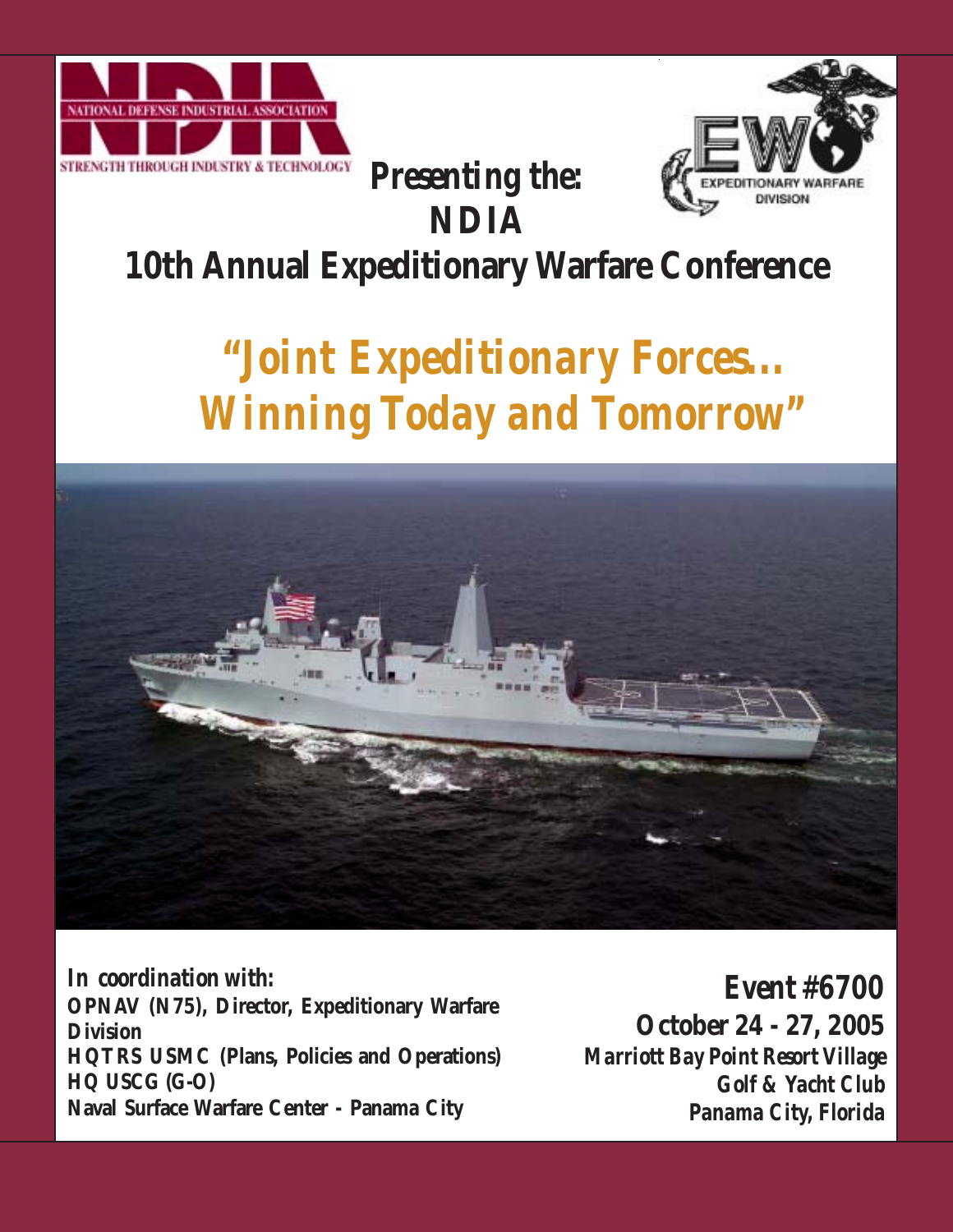



## **10th Annual Expeditionary Warfare Conference**

*Presenting the:*

**NDIA**

# *"Joint Expeditionary Forces... Winning Today and Tomorrow"*



*In coordination with:* **OPNAV (N75), Director, Expeditionary Warfare Division HQTRS USMC (Plans, Policies and Operations) HQ USCG (G-O) Naval Surface Warfare Center - Panama City**

*Event #6700* **October 24 - 27, 2005** *Marriott Bay Point Resort Village Golf & Yacht Club Panama City, Florida*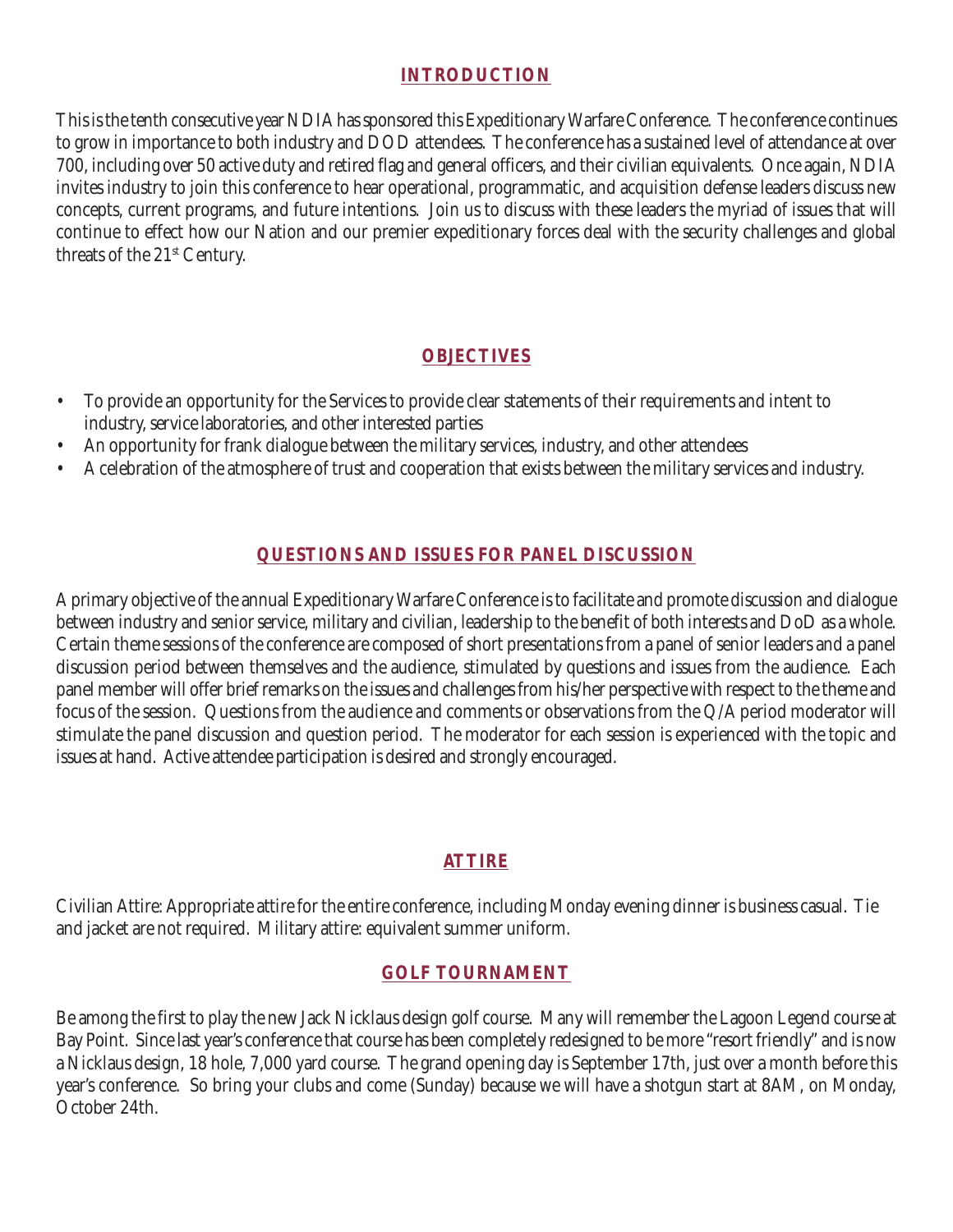#### **INTRODUCTION**

This is the tenth consecutive year NDIA has sponsored this Expeditionary Warfare Conference. The conference continues to grow in importance to both industry and DOD attendees. The conference has a sustained level of attendance at over 700, including over 50 active duty and retired flag and general officers, and their civilian equivalents. Once again, NDIA invites industry to join this conference to hear operational, programmatic, and acquisition defense leaders discuss new concepts, current programs, and future intentions. Join us to discuss with these leaders the myriad of issues that will continue to effect how our Nation and our premier expeditionary forces deal with the security challenges and global threats of the 21<sup>st</sup> Century.

#### **OBJECTIVES**

- To provide an opportunity for the Services to provide clear statements of their requirements and intent to industry, service laboratories, and other interested parties
- An opportunity for frank dialogue between the military services, industry, and other attendees
- A celebration of the atmosphere of trust and cooperation that exists between the military services and industry.

#### **QUESTIONS AND ISSUES FOR PANEL DISCUSSION**

A primary objective of the annual Expeditionary Warfare Conference is to facilitate and promote discussion and dialogue between industry and senior service, military and civilian, leadership to the benefit of both interests and DoD as a whole. Certain theme sessions of the conference are composed of short presentations from a panel of senior leaders and a panel discussion period between themselves and the audience, stimulated by questions and issues from the audience. Each panel member will offer brief remarks on the issues and challenges from his/her perspective with respect to the theme and focus of the session. Questions from the audience and comments or observations from the Q/A period moderator will stimulate the panel discussion and question period. The moderator for each session is experienced with the topic and issues at hand. Active attendee participation is desired and strongly encouraged.

#### **ATTIRE**

Civilian Attire: Appropriate attire for the entire conference, including Monday evening dinner is business casual. Tie and jacket are not required. Military attire: equivalent summer uniform.

#### **GOLF TOURNAMENT**

Be among the first to play the new Jack Nicklaus design golf course. Many will remember the Lagoon Legend course at Bay Point. Since last year's conference that course has been completely redesigned to be more "resort friendly" and is now a Nicklaus design, 18 hole, 7,000 yard course. The grand opening day is September 17th, just over a month before this year's conference. So bring your clubs and come (Sunday) because we will have a shotgun start at 8AM, on Monday, October 24th.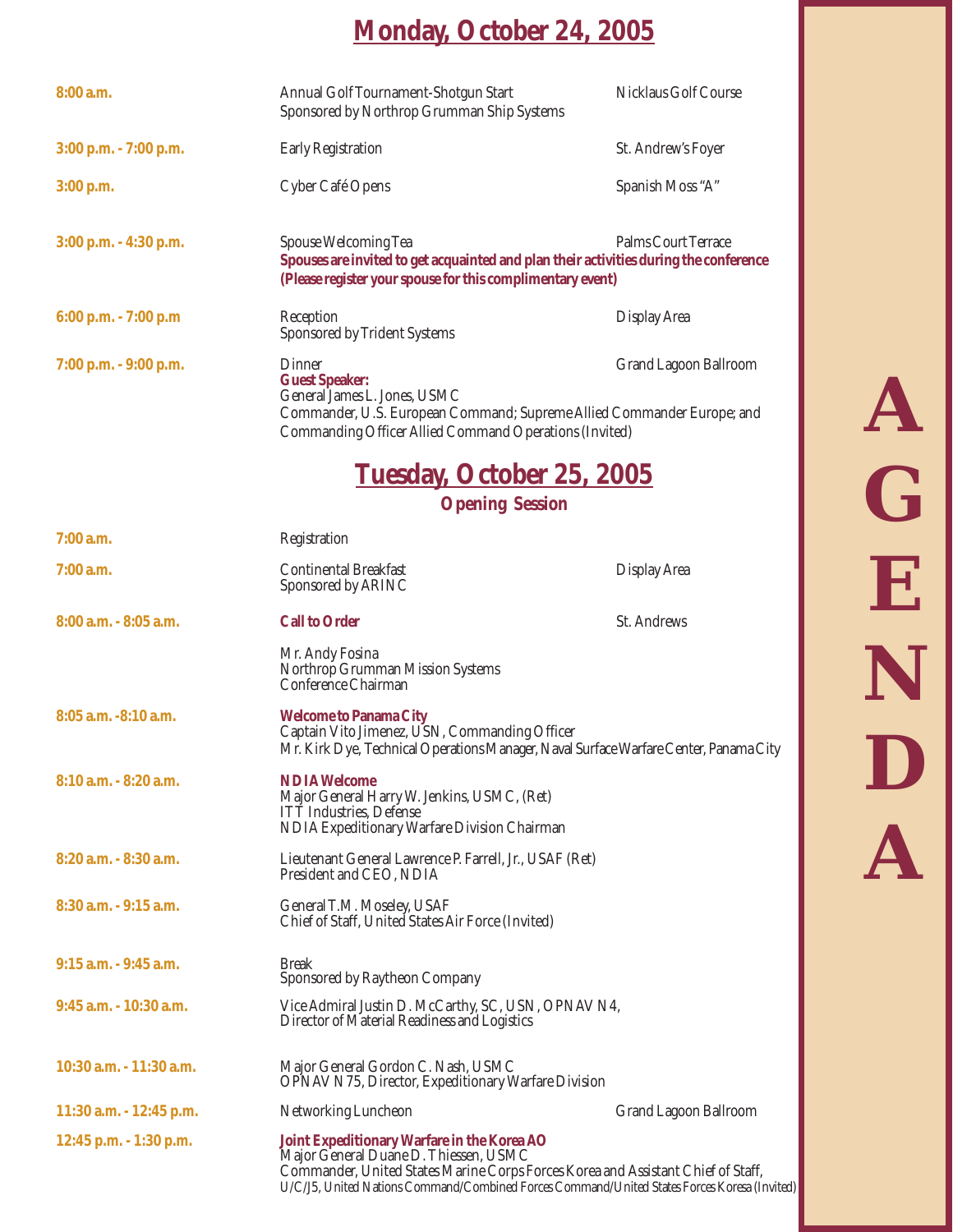### **Monday, October 24, 2005**

| 8:00 a.m.                  | Annual Golf Tournament-Shotgun Start<br>Sponsored by Northrop Grumman Ship Systems                                                                                                                                                                                       | Nicklaus Golf Course         |
|----------------------------|--------------------------------------------------------------------------------------------------------------------------------------------------------------------------------------------------------------------------------------------------------------------------|------------------------------|
| 3:00 p.m. - 7:00 p.m.      | <b>Early Registration</b>                                                                                                                                                                                                                                                | St. Andrew's Foyer           |
| 3:00 p.m.                  | Cyber Café Opens                                                                                                                                                                                                                                                         | Spanish Moss "A"             |
| $3:00$ p.m. $-4:30$ p.m.   | Spouse Welcoming Tea<br>Spouses are invited to get acquainted and plan their activities during the conference<br>(Please register your spouse for this complimentary event)                                                                                              | <b>Palms Court Terrace</b>   |
| 6:00 p.m. - 7:00 p.m       | Reception<br>Sponsored by Trident Systems                                                                                                                                                                                                                                | <b>Display Area</b>          |
| 7:00 p.m. - 9:00 p.m.      | Dinner<br><b>Guest Speaker:</b><br>General James L. Jones, USMC<br>Commander, U.S. European Command; Supreme Allied Commander Europe; and<br>Commanding Officer Allied Command Operations (Invited)                                                                      | <b>Grand Lagoon Ballroom</b> |
|                            | <b>Tuesday, October 25, 2005</b>                                                                                                                                                                                                                                         |                              |
|                            | <b>Opening Session</b>                                                                                                                                                                                                                                                   |                              |
| $7:00$ a.m.                | Registration                                                                                                                                                                                                                                                             |                              |
| 7:00 a.m.                  | <b>Continental Breakfast</b><br>Sponsored by ARINC                                                                                                                                                                                                                       | <b>Display Area</b>          |
| 8:00 a.m. - 8:05 a.m.      | <b>Call to Order</b>                                                                                                                                                                                                                                                     | St. Andrews                  |
|                            | Mr. Andy Fosina<br>Northrop Grumman Mission Systems<br>Conference Chairman                                                                                                                                                                                               |                              |
| 8:05 a.m. -8:10 a.m.       | <b>Welcome to Panama City</b><br>Captain Vito Jimenez, USN, Commanding Officer<br>Mr. Kirk Dye, Technical Operations Manager, Naval Surface Warfare Center, Panama City                                                                                                  |                              |
| 8:10 a.m. - 8:20 a.m.      | <b>NDIA Welcome</b><br>Major General Harry W. Jenkins, USMC, (Ret)<br><b>ITT</b> Industries, Defense<br>NDIA Expeditionary Warfare Division Chairman                                                                                                                     |                              |
| $8:20$ a.m. $-8:30$ a.m.   | Lieutenant General Lawrence P. Farrell, Jr., USAF (Ret)<br>President and CEO, NDIA                                                                                                                                                                                       |                              |
| $8:30$ a.m. $-9:15$ a.m.   | General T.M. Moseley, USAF<br>Chief of Staff, United States Air Force (Invited)                                                                                                                                                                                          |                              |
| 9:15 a.m. - 9:45 a.m.      | <b>Break</b><br>Sponsored by Raytheon Company                                                                                                                                                                                                                            |                              |
| $9:45$ a.m. $-10:30$ a.m.  | Vice Admiral Justin D. McCarthy, SC, USN, OPNAV N4,<br>Director of Material Readiness and Logistics                                                                                                                                                                      |                              |
| $10:30$ a.m. $-11:30$ a.m. | Major General Gordon C. Nash, USMC<br><b>OPNAV N75, Director, Expeditionary Warfare Division</b>                                                                                                                                                                         |                              |
| $11:30$ a.m. $-12:45$ p.m. | Networking Luncheon                                                                                                                                                                                                                                                      | Grand Lagoon Ballroom        |
| 12:45 p.m. - 1:30 p.m.     | Joint Expeditionary Warfare in the Korea AO<br>Major General Duane D. Thiessen, USMC<br>Commander, United States Marine Corps Forces Korea and Assistant Chief of Staff,<br>U/C/J5, United Nations Command/Combined Forces Command/United States Forces Koresa (Invited) |                              |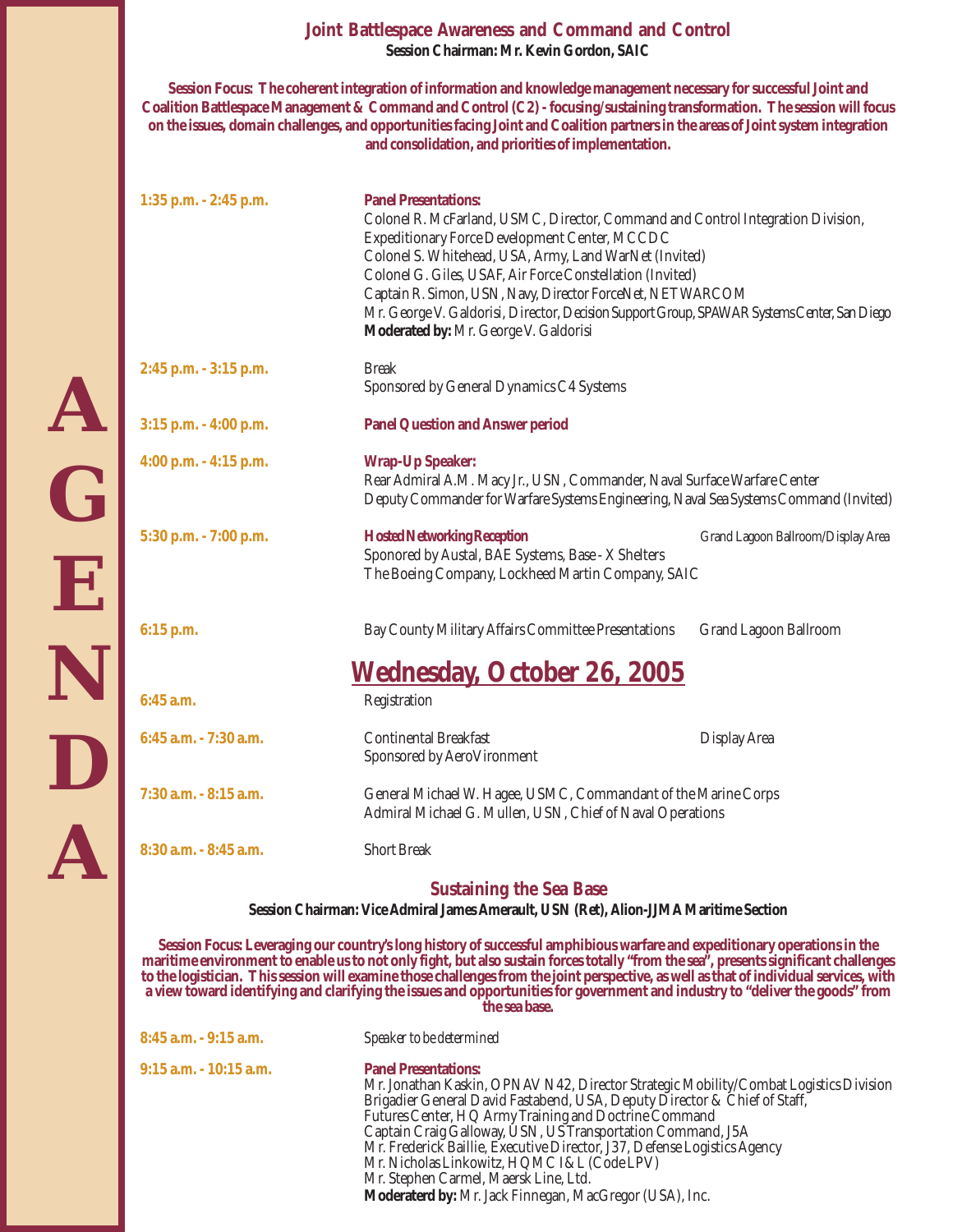#### **Joint Battlespace Awareness and Command and Control Session Chairman: Mr. Kevin Gordon, SAIC**

**Session Focus: The coherent integration of information and knowledge management necessary for successful Joint and Coalition Battlespace Management & Command and Control (C2) - focusing/sustaining transformation. The session will focus on the issues, domain challenges, and opportunities facing Joint and Coalition partners in the areas of Joint system integration and consolidation, and priorities of implementation.**

| $1:35$ p.m. $-2:45$ p.m.                                                                                                | <b>Panel Presentations:</b><br>Colonel R. McFarland, USMC, Director, Command and Control Integration Division,<br>Expeditionary Force Development Center, MCCDC<br>Colonel S. Whitehead, USA, Army, Land WarNet (Invited)<br>Colonel G. Giles, USAF, Air Force Constellation (Invited)<br>Captain R. Simon, USN, Navy, Director ForceNet, NETWARCOM<br>Mr. George V. Galdorisi, Director, Decision Support Group, SPAWAR Systems Center, San Diego<br>Moderated by: Mr. George V. Galdorisi                                                                    |                                    |  |
|-------------------------------------------------------------------------------------------------------------------------|----------------------------------------------------------------------------------------------------------------------------------------------------------------------------------------------------------------------------------------------------------------------------------------------------------------------------------------------------------------------------------------------------------------------------------------------------------------------------------------------------------------------------------------------------------------|------------------------------------|--|
| $2:45$ p.m. $-3:15$ p.m.                                                                                                | <b>Break</b><br>Sponsored by General Dynamics C4 Systems                                                                                                                                                                                                                                                                                                                                                                                                                                                                                                       |                                    |  |
| $3:15$ p.m. $-4:00$ p.m.                                                                                                | <b>Panel Question and Answer period</b>                                                                                                                                                                                                                                                                                                                                                                                                                                                                                                                        |                                    |  |
| 4:00 p.m. $-$ 4:15 p.m.                                                                                                 | <b>Wrap-Up Speaker:</b><br>Rear Admiral A.M. Macy Jr., USN, Commander, Naval Surface Warfare Center<br>Deputy Commander for Warfare Systems Engineering, Naval Sea Systems Command (Invited)                                                                                                                                                                                                                                                                                                                                                                   |                                    |  |
| $5:30$ p.m. $-7:00$ p.m.                                                                                                | <b>Hosted Networking Reception</b><br>Sponored by Austal, BAE Systems, Base - X Shelters<br>The Boeing Company, Lockheed Martin Company, SAIC                                                                                                                                                                                                                                                                                                                                                                                                                  | Grand Lagoon Ballroom/Display Area |  |
| $6:15$ p.m.                                                                                                             | Bay County Military Affairs Committee Presentations                                                                                                                                                                                                                                                                                                                                                                                                                                                                                                            | Grand Lagoon Ballroom              |  |
|                                                                                                                         | <u>Wednesday, October 26, 2005</u>                                                                                                                                                                                                                                                                                                                                                                                                                                                                                                                             |                                    |  |
| $6:45$ a.m.                                                                                                             | Registration                                                                                                                                                                                                                                                                                                                                                                                                                                                                                                                                                   |                                    |  |
| 6:45 a.m. - 7:30 a.m.                                                                                                   | <b>Continental Breakfast</b><br>Sponsored by AeroVironment                                                                                                                                                                                                                                                                                                                                                                                                                                                                                                     | <b>Display Area</b>                |  |
| 7:30 a.m. - 8:15 a.m.                                                                                                   | General Michael W. Hagee, USMC, Commandant of the Marine Corps<br>Admiral Michael G. Mullen, USN, Chief of Naval Operations                                                                                                                                                                                                                                                                                                                                                                                                                                    |                                    |  |
| $8:30$ a.m. $-8:45$ a.m.                                                                                                | <b>Short Break</b>                                                                                                                                                                                                                                                                                                                                                                                                                                                                                                                                             |                                    |  |
| <b>Sustaining the Sea Base</b><br>Session Chairman: Vice Admiral James Amerault, USN (Ret), Alion-JJMA Maritime Section |                                                                                                                                                                                                                                                                                                                                                                                                                                                                                                                                                                |                                    |  |
|                                                                                                                         | Session Focus: Leveraging our country's long history of successful amphibious warfare and expeditionary operations in the<br>maritime environment to enable us to not only fight, but also sustain forces totally "from the sea", presents significant challenges<br>to the logistician. This session will examine those challenges from the joint perspective, as well as that of individual services, with<br>a view toward identifying and clarifying the issues and opportunities for government and industry to "deliver the goods" from<br>the sea base. |                                    |  |
| 8:45 a.m. - 9:15 a.m.                                                                                                   | Speaker to be determined                                                                                                                                                                                                                                                                                                                                                                                                                                                                                                                                       |                                    |  |
| $9:15$ a.m. $-10:15$ a.m.                                                                                               | <b>Panel Presentations:</b>                                                                                                                                                                                                                                                                                                                                                                                                                                                                                                                                    |                                    |  |

Mr. Jonathan Kaskin, OPNAV N42, Director Strategic Mobility/Combat Logistics Division Brigadier General David Fastabend, USA, Deputy Director & Chief of Staff, Futures Center, HQ Army Training and Doctrine Command Captain Craig Galloway, USN, US Transportation Command, J5A Mr. Frederick Baillie, Executive Director, J37, Defense Logistics Agency Mr. Nicholas Linkowitz, HQMC I&L (Code LPV) Mr. Stephen Carmel, Maersk Line, Ltd. **Moderaterd by:** Mr. Jack Finnegan, MacGregor (USA), Inc.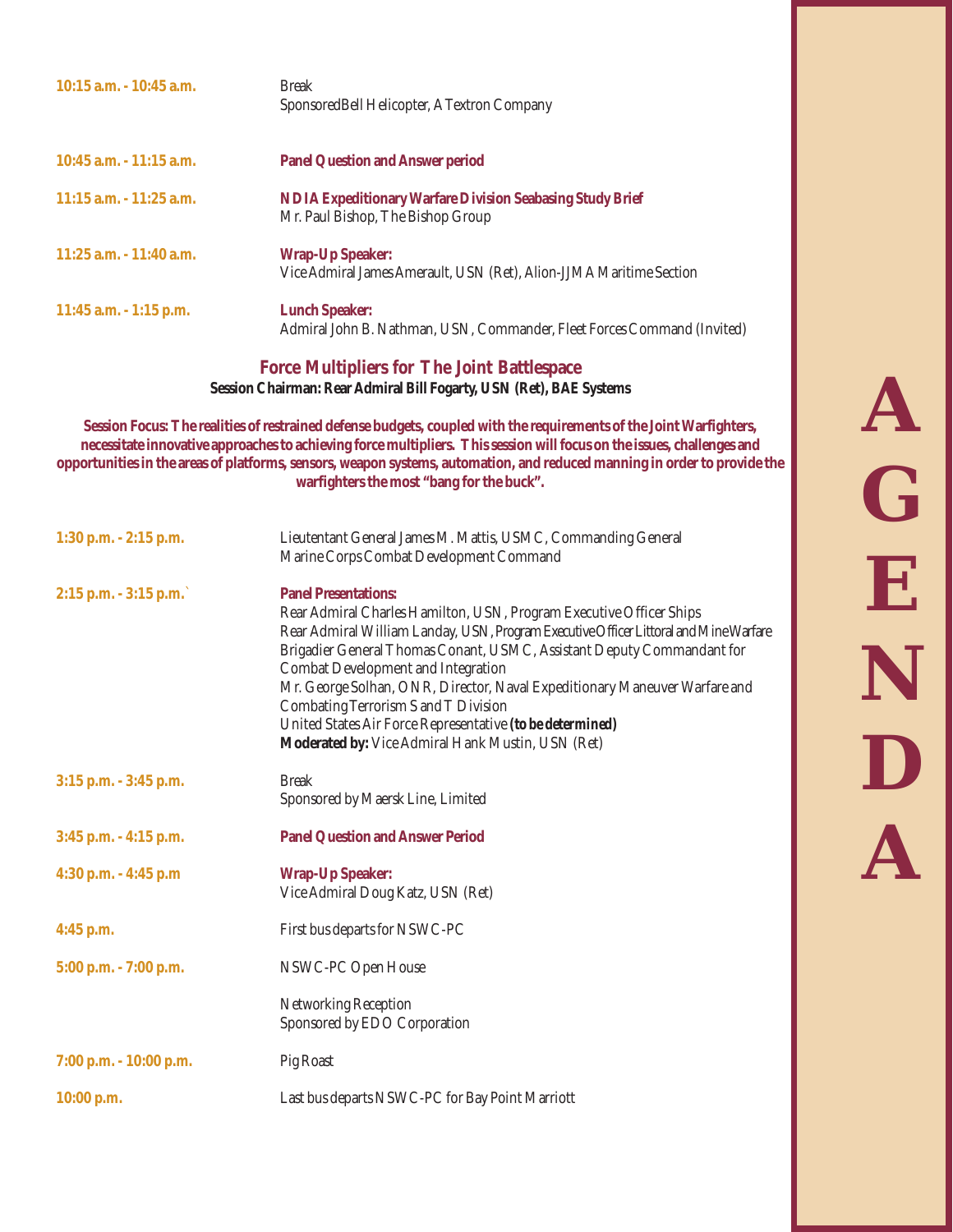| $10:15$ a.m. $-10:45$ a.m. | <b>Break</b><br>Sponsored Bell Helicopter, A Textron Company                                          |
|----------------------------|-------------------------------------------------------------------------------------------------------|
| $10:45$ a.m. $-11:15$ a.m. | <b>Panel Question and Answer period</b>                                                               |
| $11:15$ a.m. $-11:25$ a.m. | <b>NDIA Expeditionary Warfare Division Seabasing Study Brief</b><br>Mr. Paul Bishop, The Bishop Group |
| $11:25$ a.m. $-11:40$ a.m. | <b>Wrap-Up Speaker:</b><br>Vice Admiral James Amerault, USN (Ret), Alion-JJMA Maritime Section        |
| $11:45$ a.m. $-1:15$ p.m.  | <b>Lunch Speaker:</b><br>Admiral John B. Nathman, USN, Commander, Fleet Forces Command (Invited)      |

**Force Multipliers for The Joint Battlespace Session Chairman: Rear Admiral Bill Fogarty, USN (Ret), BAE Systems**

**Session Focus: The realities of restrained defense budgets, coupled with the requirements of the Joint Warfighters, necessitate innovative approaches to achieving force multipliers. This session will focus on the issues, challenges and opportunities in the areas of platforms, sensors, weapon systems, automation, and reduced manning in order to provide the warfighters the most "bang for the buck".**

| Lieutentant General James M. Mattis, USMC, Commanding General<br>Marine Corps Combat Development Command                                                                                                                                                                                                                                                                                                                                                                                                                                                   |
|------------------------------------------------------------------------------------------------------------------------------------------------------------------------------------------------------------------------------------------------------------------------------------------------------------------------------------------------------------------------------------------------------------------------------------------------------------------------------------------------------------------------------------------------------------|
| <b>Panel Presentations:</b><br>Rear Admiral Charles Hamilton, USN, Program Executive Officer Ships<br>Rear Admiral William Landay, USN, Program Executive Officer Littoral and Mine Warfare<br>Brigadier General Thomas Conant, USMC, Assistant Deputy Commandant for<br><b>Combat Development and Integration</b><br>Mr. George Solhan, ONR, Director, Naval Expeditionary Maneuver Warfare and<br>Combating Terrorism S and T Division<br>United States Air Force Representative (to be determined)<br>Moderated by: Vice Admiral Hank Mustin, USN (Ret) |
| <b>Break</b><br>Sponsored by Maersk Line, Limited                                                                                                                                                                                                                                                                                                                                                                                                                                                                                                          |
| <b>Panel Question and Answer Period</b>                                                                                                                                                                                                                                                                                                                                                                                                                                                                                                                    |
| <b>Wrap-Up Speaker:</b><br>Vice Admiral Doug Katz, USN (Ret)                                                                                                                                                                                                                                                                                                                                                                                                                                                                                               |
| First bus departs for NSWC-PC                                                                                                                                                                                                                                                                                                                                                                                                                                                                                                                              |
| NSWC-PC Open House                                                                                                                                                                                                                                                                                                                                                                                                                                                                                                                                         |
| Networking Reception<br>Sponsored by EDO Corporation                                                                                                                                                                                                                                                                                                                                                                                                                                                                                                       |
| Pig Roast                                                                                                                                                                                                                                                                                                                                                                                                                                                                                                                                                  |
| Last bus departs NSWC-PC for Bay Point Marriott                                                                                                                                                                                                                                                                                                                                                                                                                                                                                                            |
|                                                                                                                                                                                                                                                                                                                                                                                                                                                                                                                                                            |

**A G E N D A**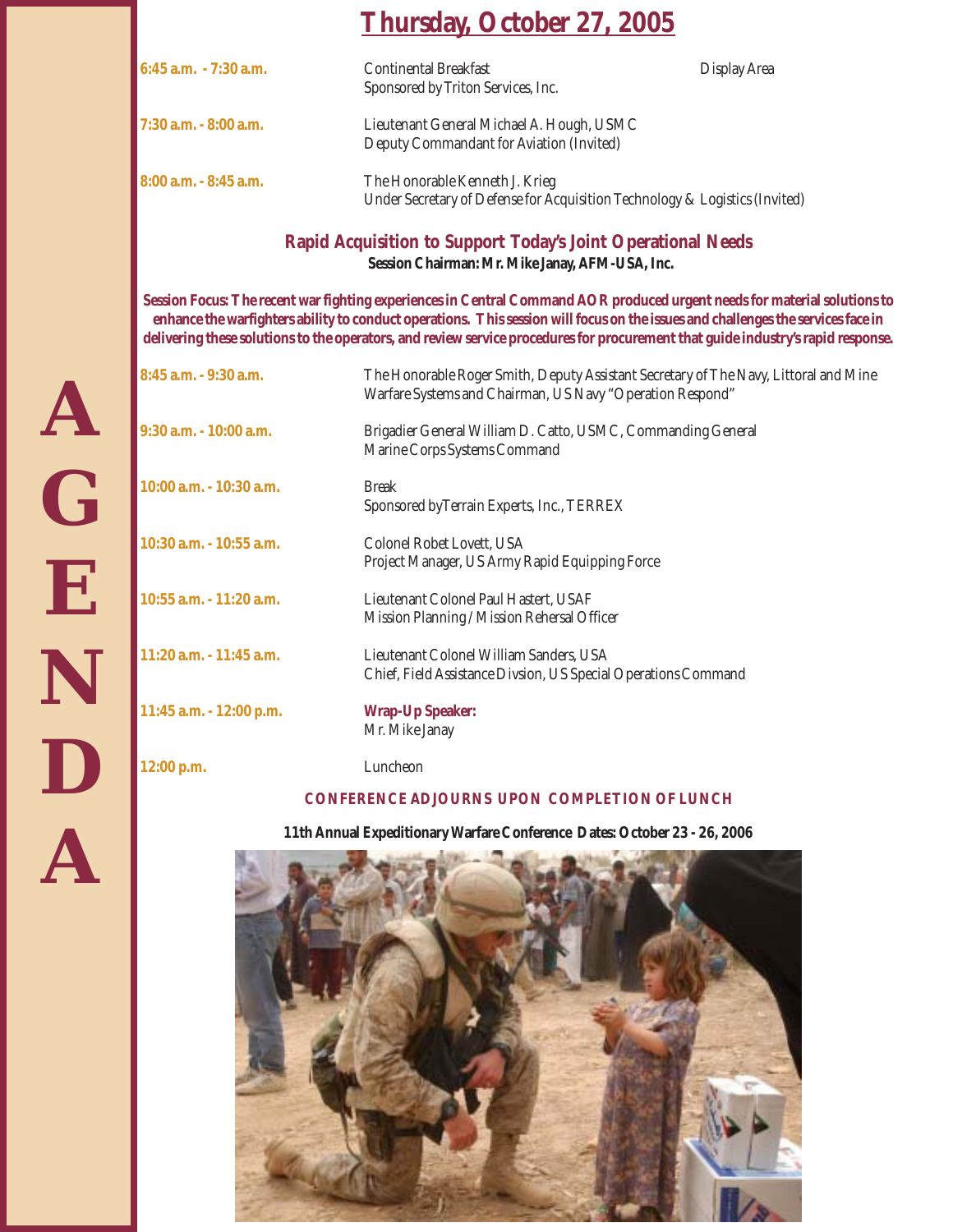| <b>Thursday, October 27, 2005</b> |  |  |
|-----------------------------------|--|--|
|                                   |  |  |

| $6:45$ a.m. $-7:30$ a.m. | <b>Continental Breakfast</b><br>Sponsored by Triton Services, Inc.                                            | Display Area |
|--------------------------|---------------------------------------------------------------------------------------------------------------|--------------|
| 7:30 a.m. - 8:00 a.m.    | Lieutenant General Michael A. Hough, USMC<br>Deputy Commandant for Aviation (Invited)                         |              |
| 8:00 a.m. - 8:45 a.m.    | The Honorable Kenneth J. Krieg<br>Under Secretary of Defense for Acquisition Technology & Logistics (Invited) |              |

**Rapid Acquisition to Support Today's Joint Operational Needs Session Chairman: Mr. Mike Janay, AFM-USA, Inc.**

**Session Focus: The recent war fighting experiences in Central Command AOR produced urgent needs for material solutions to enhance the warfighters ability to conduct operations. This session will focus on the issues and challenges the services face in delivering these solutions to the operators, and review service procedures for procurement that guide industry's rapid response.**

| 8:45 a.m. - 9:30 a.m.      | The Honorable Roger Smith, Deputy Assistant Secretary of The Navy, Littoral and Mine<br>Warfare Systems and Chairman, US Navy "Operation Respond" |
|----------------------------|---------------------------------------------------------------------------------------------------------------------------------------------------|
| 9:30 a.m. - 10:00 a.m.     | Brigadier General William D. Catto, USMC, Commanding General<br>Marine Corps Systems Command                                                      |
| 10:00 a.m. - 10:30 a.m.    | <b>Break</b><br>Sponsored by Terrain Experts, Inc., TERREX                                                                                        |
| 10:30 a.m. - 10:55 a.m.    | Colonel Robet Lovett, USA<br>Project Manager, US Army Rapid Equipping Force                                                                       |
| 10:55 a.m. - 11:20 a.m.    | Lieutenant Colonel Paul Hastert, USAF<br>Mission Planning / Mission Rehersal Officer                                                              |
| $11:20$ a.m. $-11:45$ a.m. | Lieutenant Colonel William Sanders, USA<br>Chief, Field Assistance Divsion, US Special Operations Command                                         |
| 11:45 a.m. - 12:00 p.m.    | <b>Wrap-Up Speaker:</b><br>Mr. Mike Janay                                                                                                         |
| 12:00 p.m.                 | Luncheon                                                                                                                                          |

#### **CONFERENCE ADJOURNS UPON COMPLETION OF LUNCH**

**11th Annual Expeditionary Warfare Conference Dates: October 23 - 26, 2006**

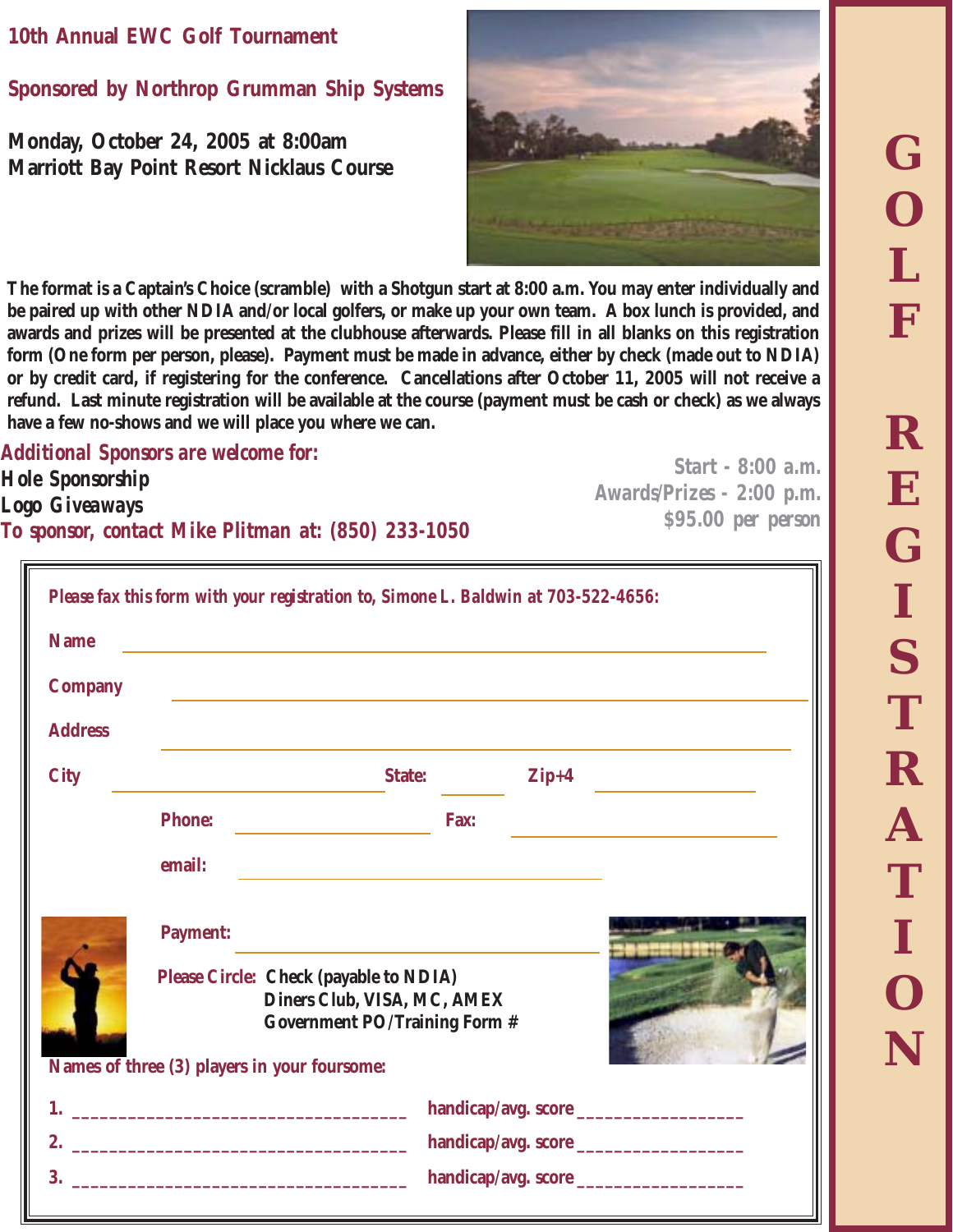### **10th Annual EWC Golf Tournament**

**Sponsored by Northrop Grumman Ship Systems**

**Monday, October 24, 2005 at 8:00am Marriott Bay Point Resort Nicklaus Course**



**The format is a Captain's Choice (scramble) with a Shotgun start at 8:00 a.m. You may enter individually and be paired up with other NDIA and/or local golfers, or make up your own team. A box lunch is provided, and awards and prizes will be presented at the clubhouse afterwards. Please fill in all blanks on this registration form (One form per person, please). Payment must be made in advance, either by check (made out to NDIA) or by credit card, if registering for the conference. Cancellations after October 11, 2005 will not receive a refund. Last minute registration will be available at the course (payment must be cash or check) as we always have a few no-shows and we will place you where we can.**

*Additional Sponsors are welcome for: Hole Sponsorship Logo Giveaways To sponsor, contact Mike Plitman at: (850) 233-1050*

*Start - 8:00 a.m. Awards/Prizes - 2:00 p.m. \$95.00 per person*

|                | Please fax this form with your registration to, Simone L. Baldwin at 703-522-4656:                            |
|----------------|---------------------------------------------------------------------------------------------------------------|
| <b>Name</b>    | <u> 1989 - Johann Stein, mars an deutscher Stein († 1989)</u>                                                 |
| <b>Company</b> |                                                                                                               |
| <b>Address</b> |                                                                                                               |
| <b>City</b>    | <b>State:</b><br>$\mathbf{Zip+4}$                                                                             |
|                | <b>Phone:</b><br>Fax:                                                                                         |
|                | email:                                                                                                        |
|                | <b>Payment:</b>                                                                                               |
|                | Please Circle: Check (payable to NDIA)<br>Diners Club, VISA, MC, AMEX<br><b>Government PO/Training Form #</b> |
|                | Names of three (3) players in your foursome:                                                                  |
|                |                                                                                                               |
| 2.<br>3.       |                                                                                                               |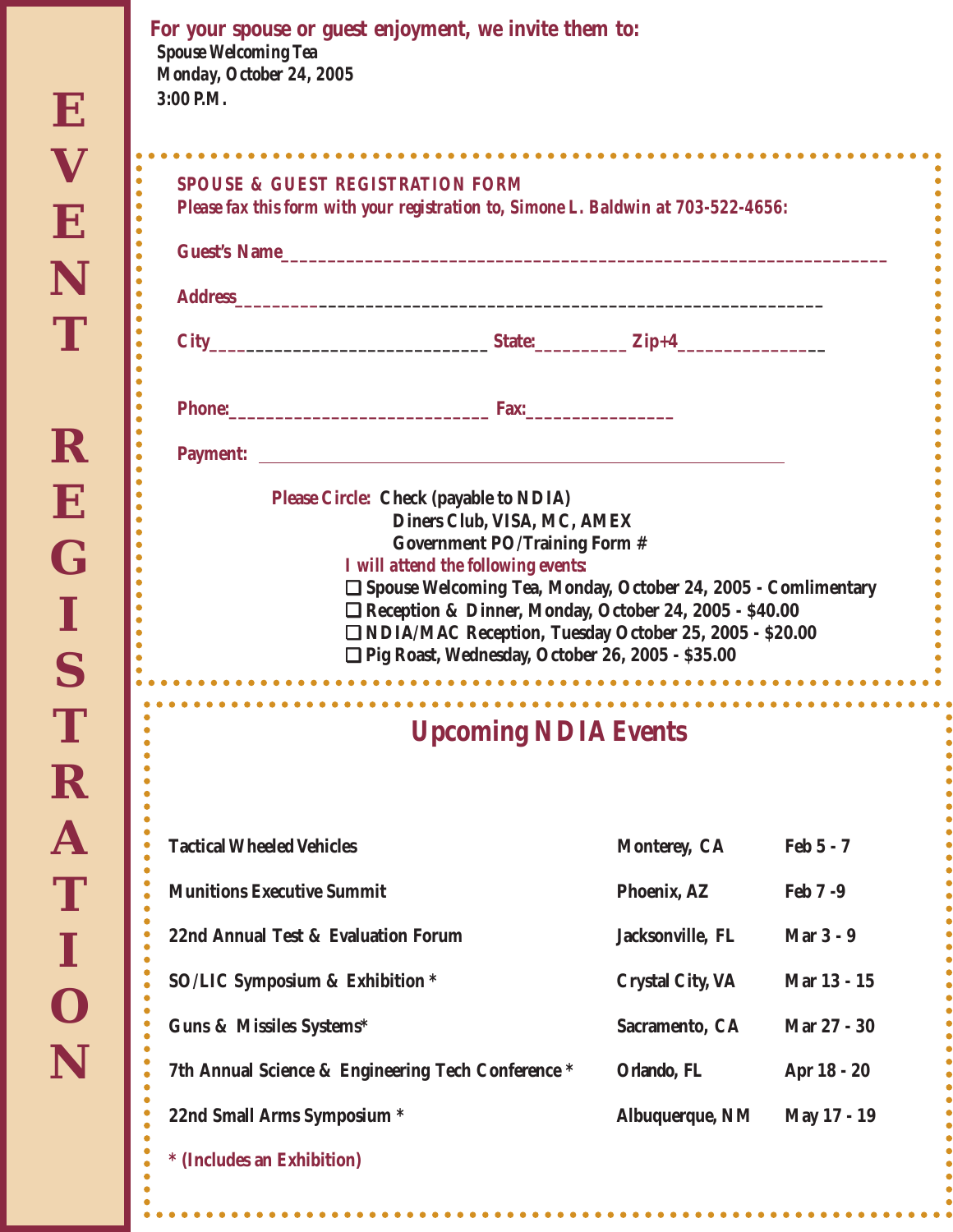$\bullet$ 

 $\bullet$ ó  $\bullet$  $\bullet$ ó  $\bullet$  $\bullet$  $\bullet$  $\bullet$  $\bullet$ 

ò  $\bullet$  $\bullet$  $\bullet$  $\bullet$  $\bullet$ ó  $\bullet$  $\bullet$  $\bullet$  $\bullet$ 

 $\bullet$ 

| For your spouse or guest enjoyment, we invite them to:<br><b>Spouse Welcoming Tea</b><br>Monday, October 24, 2005<br>$3:00$ P.M. |                                                                                           |                                                                                                                                                                                       |             |
|----------------------------------------------------------------------------------------------------------------------------------|-------------------------------------------------------------------------------------------|---------------------------------------------------------------------------------------------------------------------------------------------------------------------------------------|-------------|
| <b>SPOUSE &amp; GUEST REGISTRATION FORM</b>                                                                                      |                                                                                           |                                                                                                                                                                                       |             |
| Please fax this form with your registration to, Simone L. Baldwin at 703-522-4656:                                               |                                                                                           |                                                                                                                                                                                       |             |
| Guest's Name                                                                                                                     |                                                                                           |                                                                                                                                                                                       |             |
|                                                                                                                                  |                                                                                           |                                                                                                                                                                                       |             |
|                                                                                                                                  |                                                                                           |                                                                                                                                                                                       |             |
|                                                                                                                                  |                                                                                           |                                                                                                                                                                                       |             |
|                                                                                                                                  |                                                                                           |                                                                                                                                                                                       |             |
|                                                                                                                                  | I will attend the following events:<br>□ Pig Roast, Wednesday, October 26, 2005 - \$35.00 | □ Spouse Welcoming Tea, Monday, October 24, 2005 - Comlimentary<br>Reception & Dinner, Monday, October 24, 2005 - \$40.00<br>□ NDIA/MAC Reception, Tuesday October 25, 2005 - \$20.00 |             |
|                                                                                                                                  | <b>Upcoming NDIA Events</b>                                                               |                                                                                                                                                                                       |             |
| <b>Tactical Wheeled Vehicles</b>                                                                                                 |                                                                                           | Monterey, CA                                                                                                                                                                          | Feb 5 - 7   |
| <b>Munitions Executive Summit</b>                                                                                                |                                                                                           | Phoenix, AZ                                                                                                                                                                           | Feb 7-9     |
| 22nd Annual Test & Evaluation Forum                                                                                              |                                                                                           | Jacksonville, FL                                                                                                                                                                      | Mar 3 - 9   |
| <b>SO/LIC Symposium &amp; Exhibition *</b>                                                                                       |                                                                                           | <b>Crystal City, VA</b>                                                                                                                                                               | Mar 13 - 15 |
| Guns & Missiles Systems*                                                                                                         |                                                                                           | Sacramento, CA                                                                                                                                                                        | Mar 27 - 30 |
| 7th Annual Science & Engineering Tech Conference *                                                                               |                                                                                           | Orlando, FL                                                                                                                                                                           | Apr 18 - 20 |
| 22nd Small Arms Symposium *                                                                                                      |                                                                                           | Albuquerque, NM                                                                                                                                                                       | May 17 - 19 |
| * (Includes an Exhibition)                                                                                                       |                                                                                           |                                                                                                                                                                                       |             |

 $\bullet$ 

 $\bullet$  $\bullet$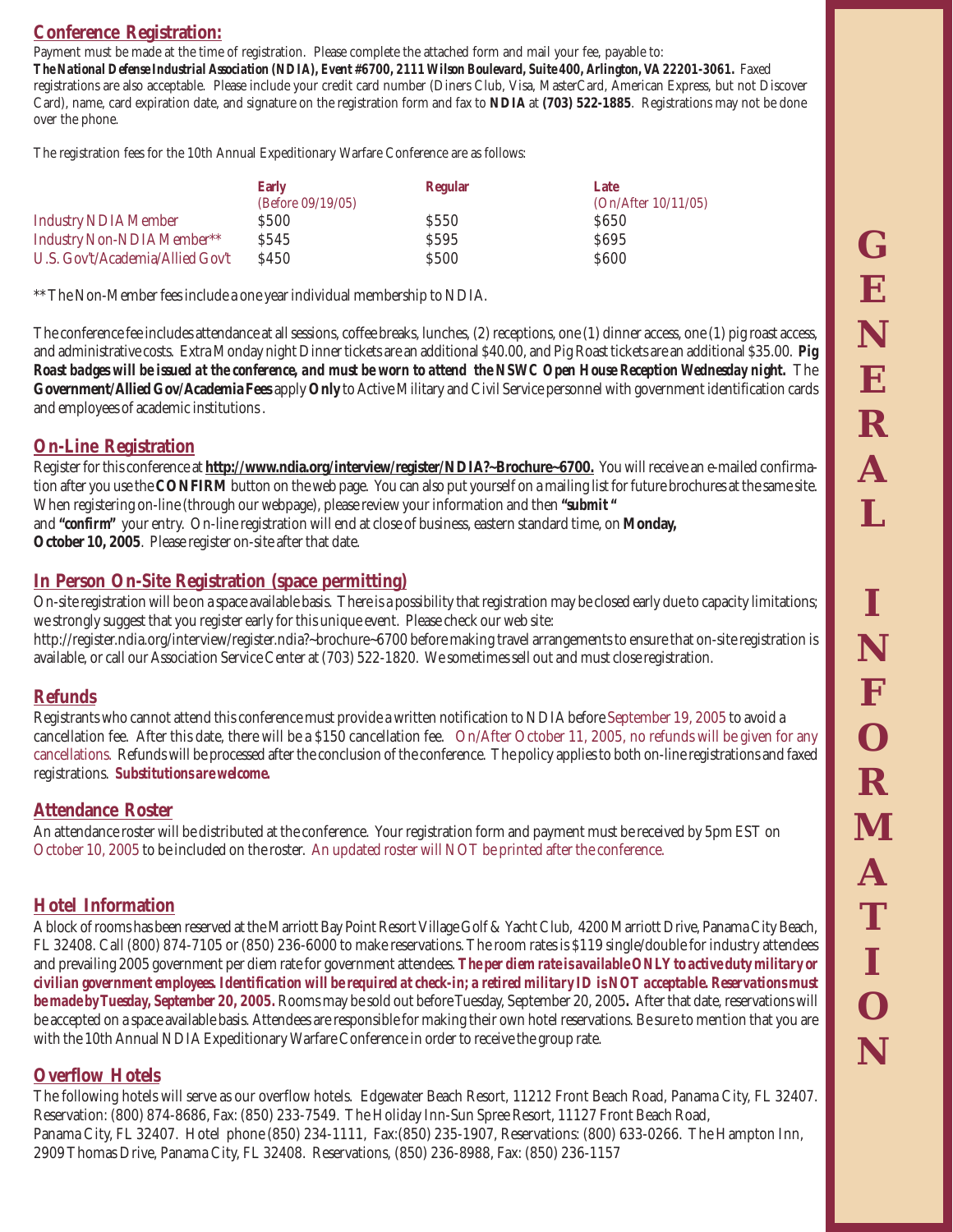#### **Conference Registration:**

Payment must be made at the time of registration. Please complete the attached form and mail your fee, payable to: *The National Defense Industrial Association (NDIA), Event #6700, 2111 Wilson Boulevard, Suite 400, Arlington, VA 22201-3061.* Faxed registrations are also acceptable. Please include your credit card number (Diners Club, Visa, MasterCard, American Express, but not Discover Card), name, card expiration date, and signature on the registration form and fax to **NDIA** at **(703) 522-1885**. Registrations may not be done over the phone.

The registration fees for the 10th Annual Expeditionary Warfare Conference are as follows:

|                                  | <b>Early</b>         | <b>Regular</b>   | Late                |
|----------------------------------|----------------------|------------------|---------------------|
|                                  | (Before $09/19/05$ ) |                  | (On/After 10/11/05) |
| <b>Industry NDIA Member</b>      | S500                 | S <sub>550</sub> | S650                |
| Industry Non-NDIA Member**       | S545                 | S <sub>595</sub> | S <sub>695</sub>    |
| U.S. Gov't/Academia/Allied Gov't | \$450                | \$500            | <b>S600</b>         |

\*\* The Non-Member fees include a one year individual membership to NDIA.

The conference fee includes attendance at all sessions, coffee breaks, lunches, (2) receptions, one (1) dinner access, one (1) pig roast access, and administrative costs. Extra Monday night Dinner tickets are an additional \$40.00, and Pig Roast tickets are an additional \$35.00. *Pig Roast badges will be issued at the conference, and must be worn to attend the NSWC Open House Reception Wednesday night.* The **Government/Allied Gov/Academia Fees** apply **Only** to Active Military and Civil Service personnel with government identification cards and employees of academic institutions .

#### **On-Line Registration**

Register for this conference at **http://www.ndia.org/interview/register/NDIA?~Brochure~6700.** You will receive an e-mailed confirmation after you use the **CONFIRM** button on the web page. You can also put yourself on a mailing list for future brochures at the same site. When registering on-line (through our webpage), please review your information and then *"submit "* and *"confirm"* your entry. On-line registration will end at close of business, eastern standard time, on **Monday,**

**October 10, 2005**. Please register on-site after that date.

#### **In Person On-Site Registration (space permitting)**

On-site registration will be on a space available basis. There is a possibility that registration may be closed early due to capacity limitations; we strongly suggest that you register early for this unique event. Please check our web site:

http://register.ndia.org/interview/register.ndia?~brochure~6700 before making travel arrangements to ensure that on-site registration is available, or call our Association Service Center at (703) 522-1820. We sometimes sell out and must close registration.

#### **Refunds**

Registrants who cannot attend this conference must provide a written notification to NDIA before September 19, 2005 to avoid a cancellation fee. After this date, there will be a \$150 cancellation fee. On/After October 11, 2005, no refunds will be given for any cancellations. Refunds will be processed after the conclusion of the conference. The policy applies to both on-line registrations and faxed registrations.*Substitutions are welcome.*

#### **Attendance Roster**

An attendance roster will be distributed at the conference. Your registration form and payment must be received by 5pm EST on October 10, 2005 to be included on the roster. An updated roster will NOT be printed after the conference.

#### **Hotel Information**

A block of rooms has been reserved at the Marriott Bay Point Resort Village Golf & Yacht Club, 4200 Marriott Drive, Panama City Beach, FL 32408. Call (800) 874-7105 or (850) 236-6000 to make reservations. The room rates is \$119 single/double for industry attendees and prevailing 2005 government per diem rate for government attendees. *The per diem rate is available ONLY to active duty military or civilian government employees. Identification will be required at check-in; a retired military ID is NOT acceptable. Reservations must be made by Tuesday, September 20, 2005.* Rooms may be sold out before Tuesday, September 20, 2005*.* After that date, reservations will be accepted on a space available basis. Attendees are responsible for making their own hotel reservations. Be sure to mention that you are with the 10th Annual NDIA Expeditionary Warfare Conference in order to receive the group rate.

#### **Overflow Hotels**

The following hotels will serve as our overflow hotels. Edgewater Beach Resort, 11212 Front Beach Road, Panama City, FL 32407. Reservation: (800) 874-8686, Fax: (850) 233-7549. The Holiday Inn-Sun Spree Resort, 11127 Front Beach Road, Panama City, FL 32407. Hotel phone (850) 234-1111, Fax:(850) 235-1907, Reservations: (800) 633-0266. The Hampton Inn, 2909 Thomas Drive, Panama City, FL 32408. Reservations, (850) 236-8988, Fax: (850) 236-1157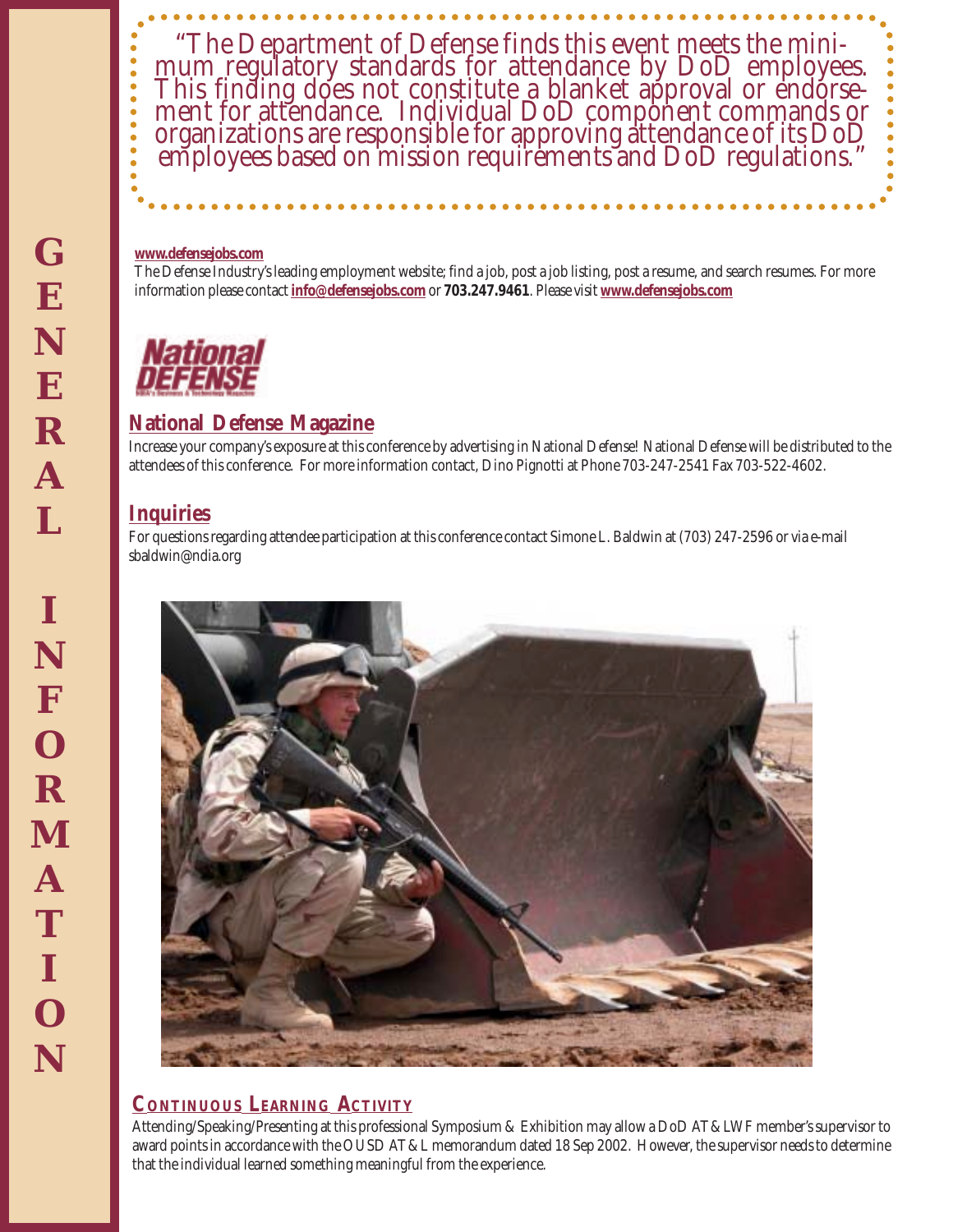

#### **www.defensejobs.com**

The Defense Industry's leading employment website; find a job, post a job listing, post a resume, and search resumes. For more information please contact **info@defensejobs.com** or **703.247.9461**. Please visit **www.defensejobs.com**

#### **National Defense Magazine**

Increase your company's exposure at this conference by advertising in National Defense! National Defense will be distributed to the attendees of this conference. For more information contact, Dino Pignotti at Phone 703-247-2541 Fax 703-522-4602.

#### **Inquiries**

For questions regarding attendee participation at this conference contact Simone L. Baldwin at (703) 247-2596 or via e-mail sbaldwin@ndia.org



#### **CONTINUOUS LEARNING ACTIVITY**

Attending/Speaking/Presenting at this professional Symposium & Exhibition may allow a DoD AT&LWF member's supervisor to award points in accordance with the OUSD AT&L memorandum dated 18 Sep 2002. However, the supervisor needs to determine that the individual learned something meaningful from the experience.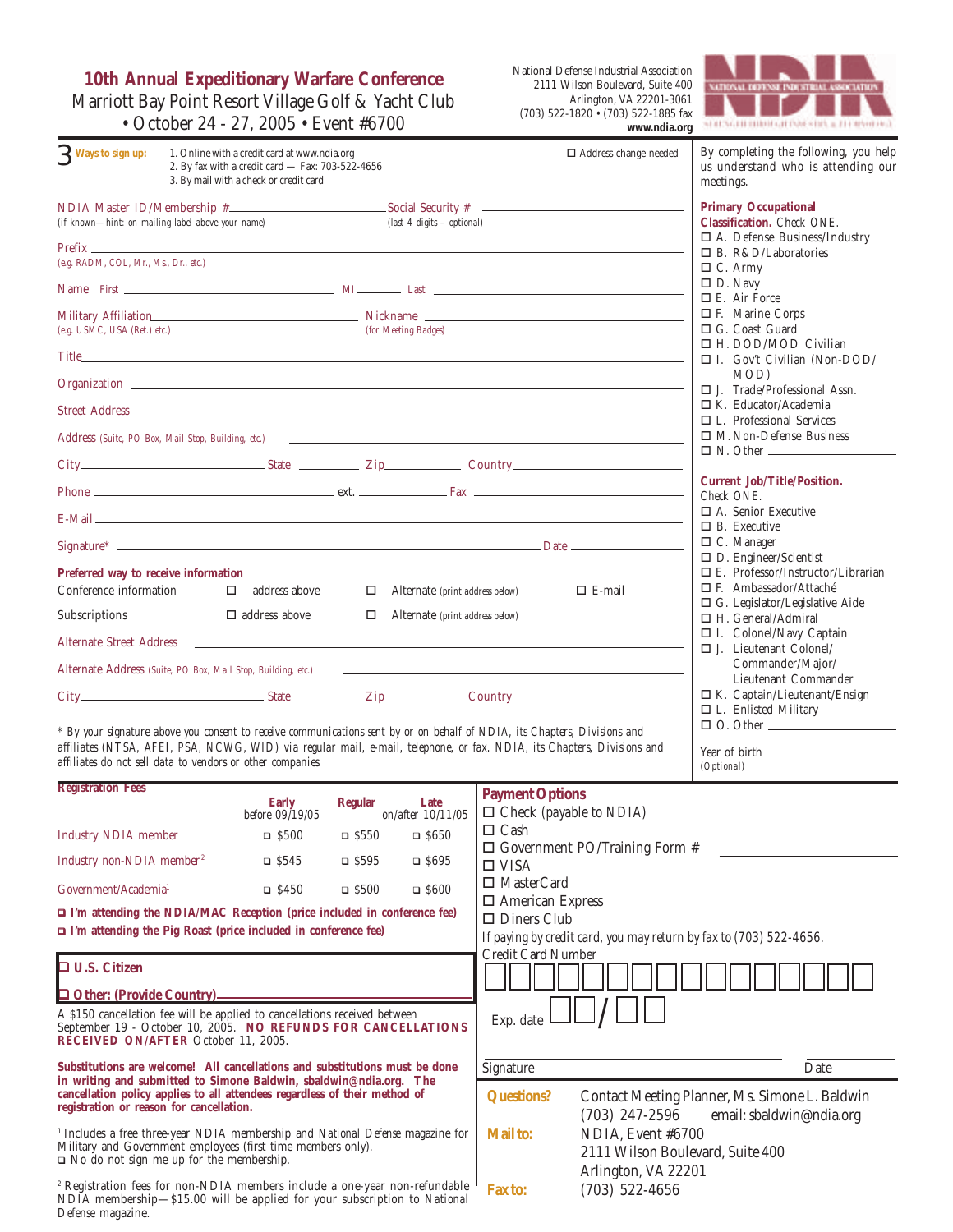**10th Annual Expeditionary Warfare Conference** Marriott Bay Point Resort Village Golf & Yacht Club • October 24 - 27, 2005 • Event #6700

National Defense Industrial Association 2111 Wilson Boulevard, Suite 400 Arlington, VA 22201-3061 (703) 522-1820 • (703) 522-1885 fax **www.ndia.org**



| 3 Ways to sign up:                                 | 1. Online with a credit card at www.ndia.org<br>2. By fax with a credit card - Fax: 703-522-4656<br>3. By mail with a check or credit card                                                                                     |                                             | $\Box$ Address change needed                                                                                                                                                                                                   | By completing the following, you help<br>us understand who is attending our<br>meetings. |
|----------------------------------------------------|--------------------------------------------------------------------------------------------------------------------------------------------------------------------------------------------------------------------------------|---------------------------------------------|--------------------------------------------------------------------------------------------------------------------------------------------------------------------------------------------------------------------------------|------------------------------------------------------------------------------------------|
| (if known-hint: on mailing label above your name)  |                                                                                                                                                                                                                                | (last 4 digits - optional)                  |                                                                                                                                                                                                                                | <b>Primary Occupational</b><br>Classification. Check ONE.                                |
| $Prefix$ $\_\_$                                    |                                                                                                                                                                                                                                |                                             |                                                                                                                                                                                                                                | $\Box$ A. Defense Business/Industry<br>$\square$ B. R&D/Laboratories                     |
| (e.g. RADM, COL, Mr., Ms., Dr., etc.)              |                                                                                                                                                                                                                                |                                             |                                                                                                                                                                                                                                | $\Box$ C. Army                                                                           |
|                                                    |                                                                                                                                                                                                                                |                                             |                                                                                                                                                                                                                                | $\Box$ D. Navy<br>$\Box$ E. Air Force                                                    |
| Military Affiliation                               | Nickname                                                                                                                                                                                                                       |                                             |                                                                                                                                                                                                                                | □ F. Marine Corps                                                                        |
| (e.g. USMC, USA (Ret.) etc.)                       |                                                                                                                                                                                                                                | (for Meeting Badges)                        |                                                                                                                                                                                                                                | □ G. Coast Guard                                                                         |
|                                                    |                                                                                                                                                                                                                                |                                             |                                                                                                                                                                                                                                | $\Box$ H. DOD/MOD Civilian<br>□ I. Gov't Civilian (Non-DOD/                              |
|                                                    |                                                                                                                                                                                                                                |                                             |                                                                                                                                                                                                                                | MOD)                                                                                     |
|                                                    |                                                                                                                                                                                                                                |                                             |                                                                                                                                                                                                                                | $\Box$ J. Trade/Professional Assn.<br>$\Box$ K. Educator/Academia                        |
|                                                    | Street Address and the contract of the contract of the contract of the contract of the contract of the contract of the contract of the contract of the contract of the contract of the contract of the contract of the contrac |                                             |                                                                                                                                                                                                                                | $\Box$ L. Professional Services                                                          |
| Address (Suite, PO Box, Mail Stop, Building, etc.) |                                                                                                                                                                                                                                |                                             | and the control of the control of the control of the control of the control of the control of the control of the                                                                                                               | $\Box$ M. Non-Defense Business                                                           |
|                                                    |                                                                                                                                                                                                                                |                                             | City Country Country Country Country Country Country Country Country Country Country Country Country Country Country Country Country Country Country Country Country Country Country Country Country Country Country Country C | $\Box$ N. Other $\Box$                                                                   |
|                                                    |                                                                                                                                                                                                                                |                                             |                                                                                                                                                                                                                                | <b>Current Job/Title/Position.</b><br>Check ONE.                                         |
|                                                    | $E$ -Mail $\overline{\phantom{a}}$                                                                                                                                                                                             |                                             |                                                                                                                                                                                                                                | $\Box$ A. Senior Executive<br>$\Box$ B. Executive                                        |
|                                                    |                                                                                                                                                                                                                                |                                             |                                                                                                                                                                                                                                | $\Box$ C. Manager                                                                        |
| Preferred way to receive information               |                                                                                                                                                                                                                                |                                             |                                                                                                                                                                                                                                | $\square$ D. Engineer/Scientist<br>$\Box$ E. Professor/Instructor/Librarian              |
| Conference information                             | address above<br>$\Box$                                                                                                                                                                                                        | $\Box$<br>Alternate (print address below)   | $\Box$ E-mail                                                                                                                                                                                                                  | $\Box$ F. Ambassador/Attaché                                                             |
| Subscriptions                                      | $\Box$ address above                                                                                                                                                                                                           | □<br>Alternate (print address below)        |                                                                                                                                                                                                                                | $\Box$ G. Legislator/Legislative Aide                                                    |
|                                                    |                                                                                                                                                                                                                                |                                             |                                                                                                                                                                                                                                | □ H. General/Admiral<br>$\Box$ I. Colonel/Navy Captain                                   |
| <b>Alternate Street Address</b>                    | $\sim 10^{-1}$                                                                                                                                                                                                                 |                                             |                                                                                                                                                                                                                                | $\square$ J. Lieutenant Colonel/                                                         |
|                                                    | Alternate Address (Suite, PO Box, Mail Stop, Building, etc.)                                                                                                                                                                   |                                             |                                                                                                                                                                                                                                | Commander/Major/<br>Lieutenant Commander                                                 |
|                                                    |                                                                                                                                                                                                                                |                                             | City Country Country Country Country Country Country Country Country Country Country Country Country Country Country Country Country Country Country Country Country Country Country Country Country Country Country Country C | $\Box$ K. Captain/Lieutenant/Ensign                                                      |
|                                                    |                                                                                                                                                                                                                                |                                             |                                                                                                                                                                                                                                | $\Box$ L. Enlisted Military<br>$\Box$ O. Other $\Box$                                    |
|                                                    | * By your signature above you consent to receive communications sent by or on behalf of NDIA, its Chapters, Divisions and                                                                                                      |                                             | affiliates (NTSA, AFEI, PSA, NCWG, WID) via regular mail, e-mail, telephone, or fax. NDIA, its Chapters, Divisions and                                                                                                         |                                                                                          |
|                                                    | affiliates do not sell data to vendors or other companies.                                                                                                                                                                     |                                             |                                                                                                                                                                                                                                | (Optional)                                                                               |
| <b>Registration Fees</b>                           |                                                                                                                                                                                                                                |                                             | <b>Payment Options</b>                                                                                                                                                                                                         |                                                                                          |
|                                                    | Early<br>before 09/19/05                                                                                                                                                                                                       | <b>Regular</b><br>Late<br>on/after 10/11/05 | $\Box$ Check (payable to NDIA)                                                                                                                                                                                                 |                                                                                          |
| <b>Industry NDIA</b> member                        | $\Box$ \$500                                                                                                                                                                                                                   | $\Box$ \$550<br>$\Box$ \$650                | $\Box$ Cash                                                                                                                                                                                                                    |                                                                                          |
| Industry non-NDIA member <sup>2</sup>              | $\Box$ \$545                                                                                                                                                                                                                   | $\Box$ \$595<br>$\Box$ S695                 | $\Box$ Government PO/Training Form #<br>$\Box$ VISA                                                                                                                                                                            |                                                                                          |
| Government/Academia <sup>1</sup>                   | $\Box$ \$450                                                                                                                                                                                                                   | $\Box$ \$500<br>$\Box$ \$600                | $\Box$ MasterCard                                                                                                                                                                                                              |                                                                                          |
|                                                    | $\square$ I'm attending the NDIA/MAC Reception (price included in conference fee)                                                                                                                                              |                                             | $\Box$ American Express                                                                                                                                                                                                        |                                                                                          |
|                                                    | $\Box$ I'm attending the Pig Roast (price included in conference fee)                                                                                                                                                          |                                             | $\Box$ Diners Club                                                                                                                                                                                                             |                                                                                          |
|                                                    |                                                                                                                                                                                                                                |                                             | If paying by credit card, you may return by fax to (703) 522-4656.                                                                                                                                                             |                                                                                          |

| <b>D</b> U.S. Citizen |                                                                                                                                       |
|-----------------------|---------------------------------------------------------------------------------------------------------------------------------------|
|                       | <b>Q Other: (Provide Country)</b>                                                                                                     |
|                       | A \$150 cancellation fee will be applied to cancellations received between<br>Contember 10. October 10. 2005. MO DEFINING EOD CANCELL |

ember 19 - October 10, 2005. NO REFUNDS FOR CANCELLATIONS **RECEIVED ON/AFTER** October 11, 2005.

**Substitutions are welcome! All cancellations and substitutions must be done in writing and submitted to Simone Baldwin, sbaldwin@ndia.org. The cancellation policy applies to all attendees regardless of their method of registration or reason for cancellation.**

1 Includes a free three-year NDIA membership and *National Defense* magazine for Military and Government employees (first time members only). ! No do not sign me up for the membership.

2 Registration fees for non-NDIA members include a one-year non-refundable NDIA membership—\$15.00 will be applied for your subscription to *National Defense* magazine.

| <b>Credit Card Number</b><br>Exp. date |                                                                                              |
|----------------------------------------|----------------------------------------------------------------------------------------------|
| Signature                              | Date                                                                                         |
| Questions?                             | Contact Meeting Planner, Ms. Simone L. Baldwin<br>(703) 247-2596<br>email: sbaldwin@ndia.org |
| <b>Mail to:</b>                        | NDIA. Event #6700<br>2111 Wilson Boulevard, Suite 400<br>Arlington, VA 22201                 |
| <b>Fax to:</b>                         | $(703)$ 522-4656                                                                             |